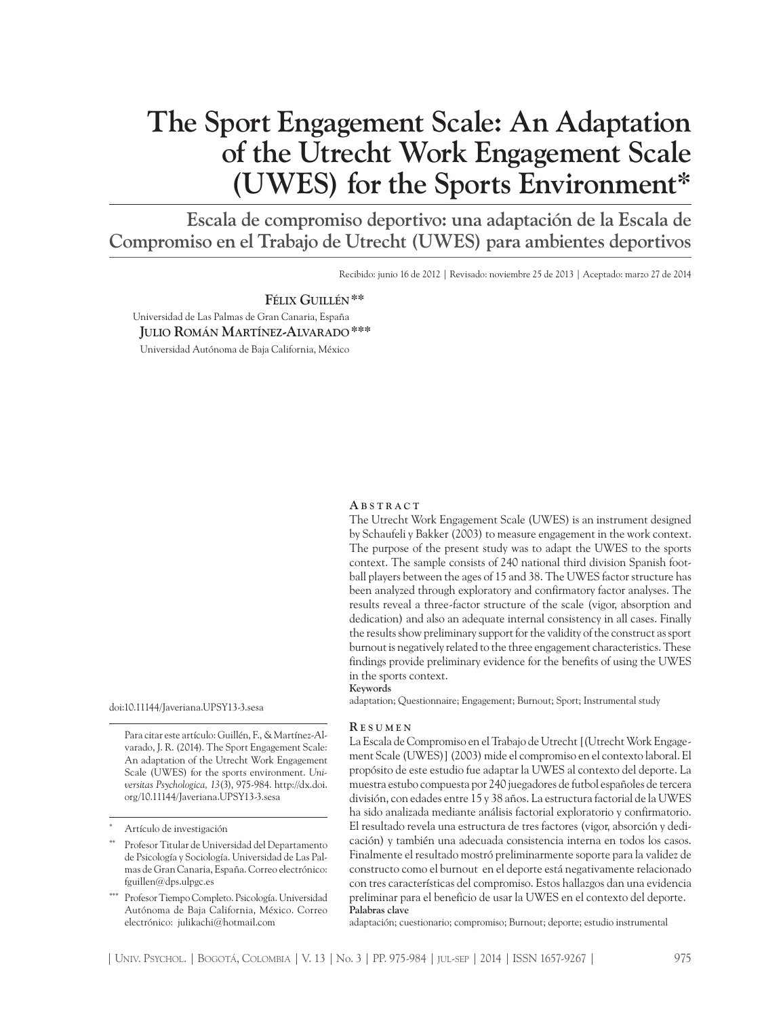# **The Sport Engagement Scale: An Adaptation of the Utrecht Work Engagement Scale (UWES) for the Sports Environment\***

**Escala de compromiso deportivo: una adaptación de la Escala de Compromiso en el Trabajo de Utrecht (UWES) para ambientes deportivos**

Recibido: junio 16 de 2012 | Revisado: noviembre 25 de 2013 | Aceptado: marzo 27 de 2014

**Félix Guillén\*\*** Universidad de Las Palmas de Gran Canaria, España **Julio Román Martínez-Alvarado\*\*\***

Universidad Autónoma de Baja California, México

#### **A b s t r a c t**

The Utrecht Work Engagement Scale (UWES) is an instrument designed by Schaufeli y Bakker (2003) to measure engagement in the work context. The purpose of the present study was to adapt the UWES to the sports context. The sample consists of 240 national third division Spanish football players between the ages of 15 and 38. The UWES factor structure has been analyzed through exploratory and confirmatory factor analyses. The results reveal a three-factor structure of the scale (vigor, absorption and dedication) and also an adequate internal consistency in all cases. Finally the results show preliminary support for the validity of the construct as sport burnout is negatively related to the three engagement characteristics. These findings provide preliminary evidence for the benefits of using the UWES in the sports context.

adaptation; Questionnaire; Engagement; Burnout; Sport; Instrumental study

doi:10.11144/Javeriana.UPSY13-3.sesa

Para citar este artículo: Guillén, F., & Martínez-Alvarado, J. R. (2014). The Sport Engagement Scale: An adaptation of the Utrecht Work Engagement Scale (UWES) for the sports environment. *Universitas Psychologica, 13*(3), 975-984. http://dx.doi. org/10.11144/Javeriana.UPSY13-3.sesa

#### **R e s u m e n**

**Keywords**

La Escala de Compromiso en el Trabajo de Utrecht [(Utrecht Work Engagement Scale (UWES)] (2003) mide el compromiso en el contexto laboral. El propósito de este estudio fue adaptar la UWES al contexto del deporte. La muestra estubo compuesta por 240 juegadores de futbol españoles de tercera división, con edades entre 15 y 38 años. La estructura factorial de la UWES ha sido analizada mediante análisis factorial exploratorio y confirmatorio. El resultado revela una estructura de tres factores (vigor, absorción y dedicación) y también una adecuada consistencia interna en todos los casos. Finalmente el resultado mostró preliminarmente soporte para la validez de constructo como el burnout en el deporte está negativamente relacionado con tres características del compromiso. Estos hallazgos dan una evidencia preliminar para el beneficio de usar la UWES en el contexto del deporte. **Palabras clave**

adaptación; cuestionario; compromiso; Burnout; deporte; estudio instrumental

Artículo de investigación

Profesor Titular de Universidad del Departamento de Psicología y Sociología. Universidad de Las Palmas de Gran Canaria, España. Correo electrónico: fguillen@dps.ulpgc.es

Profesor Tiempo Completo. Psicología. Universidad Autónoma de Baja California, México. Correo electrónico: julikachi@hotmail.com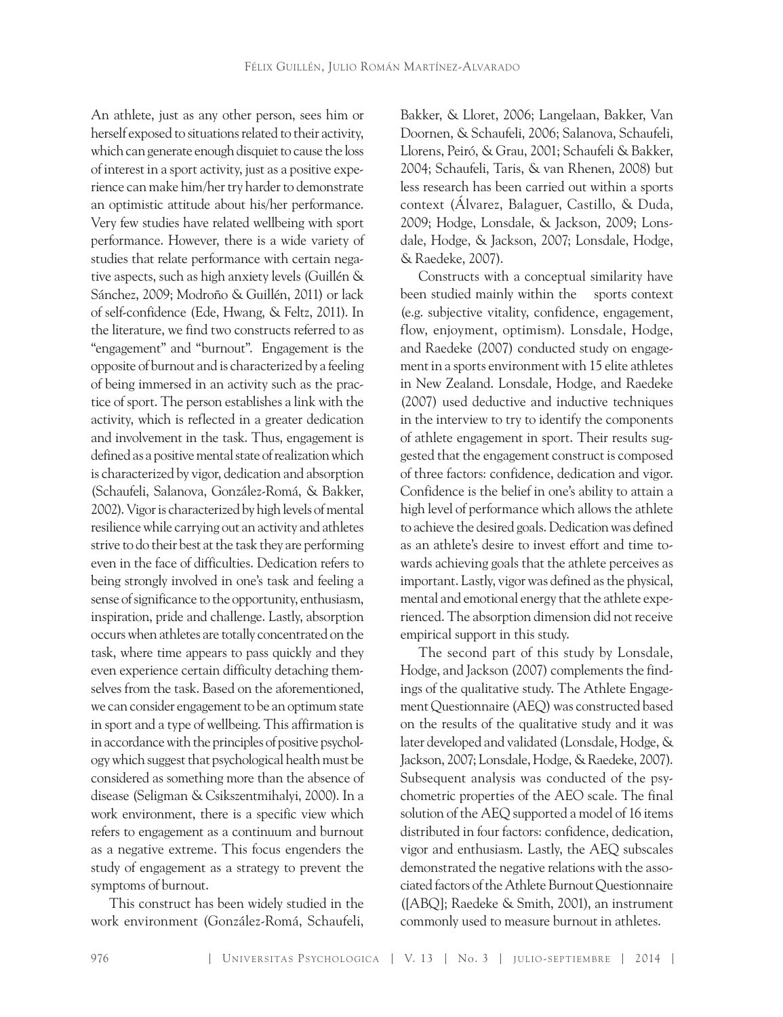An athlete, just as any other person, sees him or herself exposed to situations related to their activity, which can generate enough disquiet to cause the loss of interest in a sport activity, just as a positive experience can make him/her try harder to demonstrate an optimistic attitude about his/her performance. Very few studies have related wellbeing with sport performance. However, there is a wide variety of studies that relate performance with certain negative aspects, such as high anxiety levels (Guillén & Sánchez, 2009; Modroño & Guillén, 2011) or lack of self-confidence (Ede, Hwang, & Feltz, 2011). In the literature, we find two constructs referred to as "engagement" and "burnout". Engagement is the opposite of burnout and is characterized by a feeling of being immersed in an activity such as the practice of sport. The person establishes a link with the activity, which is reflected in a greater dedication and involvement in the task. Thus, engagement is defined as a positive mental state of realization which is characterized by vigor, dedication and absorption (Schaufeli, Salanova, González-Romá, & Bakker, 2002). Vigor is characterized by high levels of mental resilience while carrying out an activity and athletes strive to do their best at the task they are performing even in the face of difficulties. Dedication refers to being strongly involved in one's task and feeling a sense of significance to the opportunity, enthusiasm, inspiration, pride and challenge. Lastly, absorption occurs when athletes are totally concentrated on the task, where time appears to pass quickly and they even experience certain difficulty detaching themselves from the task. Based on the aforementioned, we can consider engagement to be an optimum state in sport and a type of wellbeing. This affirmation is in accordance with the principles of positive psychology which suggest that psychological health must be considered as something more than the absence of disease (Seligman & Csikszentmihalyi, 2000). In a work environment, there is a specific view which refers to engagement as a continuum and burnout as a negative extreme. This focus engenders the study of engagement as a strategy to prevent the symptoms of burnout.

This construct has been widely studied in the work environment (González-Romá, Schaufeli,

Bakker, & Lloret, 2006; Langelaan, Bakker, Van Doornen, & Schaufeli, 2006; Salanova, Schaufeli, Llorens, Peiró, & Grau, 2001; Schaufeli & Bakker, 2004; Schaufeli, Taris, & van Rhenen, 2008) but less research has been carried out within a sports context (Álvarez, Balaguer, Castillo, & Duda, 2009; Hodge, Lonsdale, & Jackson, 2009; Lonsdale, Hodge, & Jackson, 2007; Lonsdale, Hodge, & Raedeke, 2007).

Constructs with a conceptual similarity have been studied mainly within the sports context (e.g. subjective vitality, confidence, engagement, flow, enjoyment, optimism). Lonsdale, Hodge, and Raedeke (2007) conducted study on engagement in a sports environment with 15 elite athletes in New Zealand. Lonsdale, Hodge, and Raedeke (2007) used deductive and inductive techniques in the interview to try to identify the components of athlete engagement in sport. Their results suggested that the engagement construct is composed of three factors: confidence, dedication and vigor. Confidence is the belief in one's ability to attain a high level of performance which allows the athlete to achieve the desired goals. Dedication was defined as an athlete's desire to invest effort and time towards achieving goals that the athlete perceives as important. Lastly, vigor was defined as the physical, mental and emotional energy that the athlete experienced. The absorption dimension did not receive empirical support in this study.

The second part of this study by Lonsdale, Hodge, and Jackson (2007) complements the findings of the qualitative study. The Athlete Engagement Questionnaire (AEQ) was constructed based on the results of the qualitative study and it was later developed and validated (Lonsdale, Hodge, & Jackson, 2007; Lonsdale, Hodge, & Raedeke, 2007). Subsequent analysis was conducted of the psychometric properties of the AEO scale. The final solution of the AEQ supported a model of 16 items distributed in four factors: confidence, dedication, vigor and enthusiasm. Lastly, the AEQ subscales demonstrated the negative relations with the associated factors of the Athlete Burnout Questionnaire ([ABQ]; Raedeke & Smith, 2001), an instrument commonly used to measure burnout in athletes.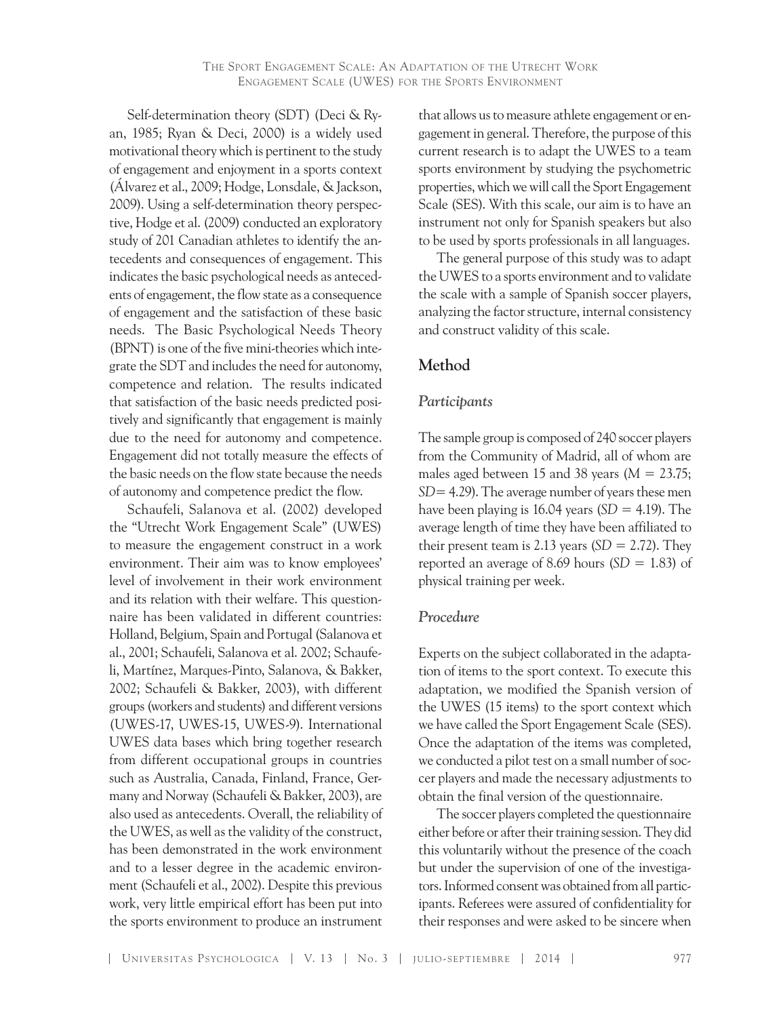Self-determination theory (SDT) (Deci & Ryan, 1985; Ryan & Deci, 2000) is a widely used motivational theory which is pertinent to the study of engagement and enjoyment in a sports context (Álvarez et al., 2009; Hodge, Lonsdale, & Jackson, 2009). Using a self-determination theory perspective, Hodge et al. (2009) conducted an exploratory study of 201 Canadian athletes to identify the antecedents and consequences of engagement. This indicates the basic psychological needs as antecedents of engagement, the flow state as a consequence of engagement and the satisfaction of these basic needs. The Basic Psychological Needs Theory (BPNT) is one of the five mini-theories which integrate the SDT and includes the need for autonomy, competence and relation. The results indicated that satisfaction of the basic needs predicted positively and significantly that engagement is mainly due to the need for autonomy and competence. Engagement did not totally measure the effects of the basic needs on the flow state because the needs of autonomy and competence predict the flow.

Schaufeli, Salanova et al. (2002) developed the "Utrecht Work Engagement Scale" (UWES) to measure the engagement construct in a work environment. Their aim was to know employees' level of involvement in their work environment and its relation with their welfare. This questionnaire has been validated in different countries: Holland, Belgium, Spain and Portugal (Salanova et al., 2001; Schaufeli, Salanova et al. 2002; Schaufeli, Martínez, Marques-Pinto, Salanova, & Bakker, 2002; Schaufeli & Bakker, 2003), with different groups (workers and students) and different versions (UWES-17, UWES-15, UWES-9). International UWES data bases which bring together research from different occupational groups in countries such as Australia, Canada, Finland, France, Germany and Norway (Schaufeli & Bakker, 2003), are also used as antecedents. Overall, the reliability of the UWES, as well as the validity of the construct, has been demonstrated in the work environment and to a lesser degree in the academic environment (Schaufeli et al., 2002). Despite this previous work, very little empirical effort has been put into the sports environment to produce an instrument that allows us to measure athlete engagement or engagement in general. Therefore, the purpose of this current research is to adapt the UWES to a team sports environment by studying the psychometric properties, which we will call the Sport Engagement Scale (SES). With this scale, our aim is to have an instrument not only for Spanish speakers but also to be used by sports professionals in all languages.

The general purpose of this study was to adapt the UWES to a sports environment and to validate the scale with a sample of Spanish soccer players, analyzing the factor structure, internal consistency and construct validity of this scale.

# **Method**

## *Participants*

The sample group is composed of 240 soccer players from the Community of Madrid, all of whom are males aged between 15 and 38 years ( $M = 23.75$ ; *SD*= 4.29). The average number of years these men have been playing is  $16.04$  years (*SD* = 4.19). The average length of time they have been affiliated to their present team is 2.13 years  $(SD = 2.72)$ . They reported an average of 8.69 hours  $(SD = 1.83)$  of physical training per week.

#### *Procedure*

Experts on the subject collaborated in the adaptation of items to the sport context. To execute this adaptation, we modified the Spanish version of the UWES (15 items) to the sport context which we have called the Sport Engagement Scale (SES). Once the adaptation of the items was completed, we conducted a pilot test on a small number of soccer players and made the necessary adjustments to obtain the final version of the questionnaire.

The soccer players completed the questionnaire either before or after their training session. They did this voluntarily without the presence of the coach but under the supervision of one of the investigators. Informed consentwas obtained from all participants. Referees were assured of confidentiality for their responses and were asked to be sincere when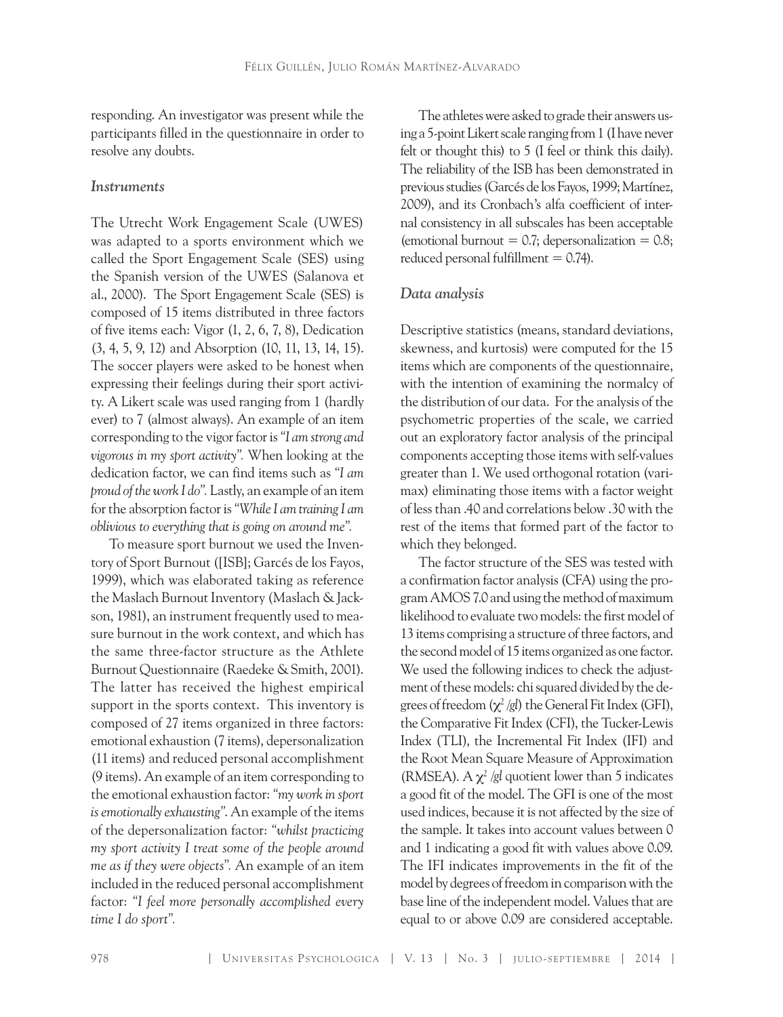responding. An investigator was present while the participants filled in the questionnaire in order to resolve any doubts.

#### *Instruments*

The Utrecht Work Engagement Scale (UWES) was adapted to a sports environment which we called the Sport Engagement Scale (SES) using the Spanish version of the UWES (Salanova et al., 2000). The Sport Engagement Scale (SES) is composed of 15 items distributed in three factors of five items each: Vigor (1, 2, 6, 7, 8), Dedication (3, 4, 5, 9, 12) and Absorption (10, 11, 13, 14, 15). The soccer players were asked to be honest when expressing their feelings during their sport activity. A Likert scale was used ranging from 1 (hardly ever) to 7 (almost always). An example of an item corresponding to the vigor factor is *"I am strong and vigorous in my sport activity".* When looking at the dedication factor, we can find items such as *"I am proud of the work I do".* Lastly, an example of an item for the absorption factor is *"While I am training I am oblivious to everything that is going on around me".* 

To measure sport burnout we used the Inventory of Sport Burnout ([ISB]; Garcés de los Fayos, 1999), which was elaborated taking as reference the Maslach Burnout Inventory (Maslach & Jackson, 1981), an instrument frequently used to measure burnout in the work context, and which has the same three-factor structure as the Athlete Burnout Questionnaire (Raedeke & Smith, 2001). The latter has received the highest empirical support in the sports context. This inventory is composed of 27 items organized in three factors: emotional exhaustion (7 items), depersonalization (11 items) and reduced personal accomplishment (9 items). An example of an item corresponding to the emotional exhaustion factor: *"my work in sport is emotionally exhausting"*. An example of the items of the depersonalization factor: *"whilst practicing my sport activity I treat some of the people around me as if they were objects".* An example of an item included in the reduced personal accomplishment factor: *"I feel more personally accomplished every time I do sport".*

The athletes were asked to grade their answers using a 5-point Likert scale ranging from 1 (I have never felt or thought this) to 5 (I feel or think this daily). The reliability of the ISB has been demonstrated in previous studies (Garcés de los Fayos, 1999; Martínez, 2009), and its Cronbach's alfa coefficient of internal consistency in all subscales has been acceptable (emotional burnout  $= 0.7$ ; depersonalization  $= 0.8$ ; reduced personal fulfillment  $= 0.74$ ).

#### *Data analysis*

Descriptive statistics (means, standard deviations, skewness, and kurtosis) were computed for the 15 items which are components of the questionnaire, with the intention of examining the normalcy of the distribution of our data. For the analysis of the psychometric properties of the scale, we carried out an exploratory factor analysis of the principal components accepting those items with self-values greater than 1. We used orthogonal rotation (varimax) eliminating those items with a factor weight of less than .40 and correlations below .30 with the rest of the items that formed part of the factor to which they belonged.

The factor structure of the SES was tested with a confirmation factor analysis (CFA) using the program AMOS 7.0 and using the method of maximum likelihood to evaluate two models: the first model of 13 items comprising a structure of three factors, and the second model of 15 items organized as one factor. We used the following indices to check the adjustment of these models: chi squared divided by the degrees of freedom  $(\chi^2/gl)$  the General Fit Index (GFI), the Comparative Fit Index (CFI), the Tucker-Lewis Index (TLI), the Incremental Fit Index (IFI) and the Root Mean Square Measure of Approximation (RMSEA). A  $\chi^2$  /*gl* quotient lower than 5 indicates a good fit of the model. The GFI is one of the most used indices, because it is not affected by the size of the sample. It takes into account values between 0 and 1 indicating a good fit with values above 0.09. The IFI indicates improvements in the fit of the model by degrees of freedom in comparison with the base line of the independent model. Values that are equal to or above 0.09 are considered acceptable.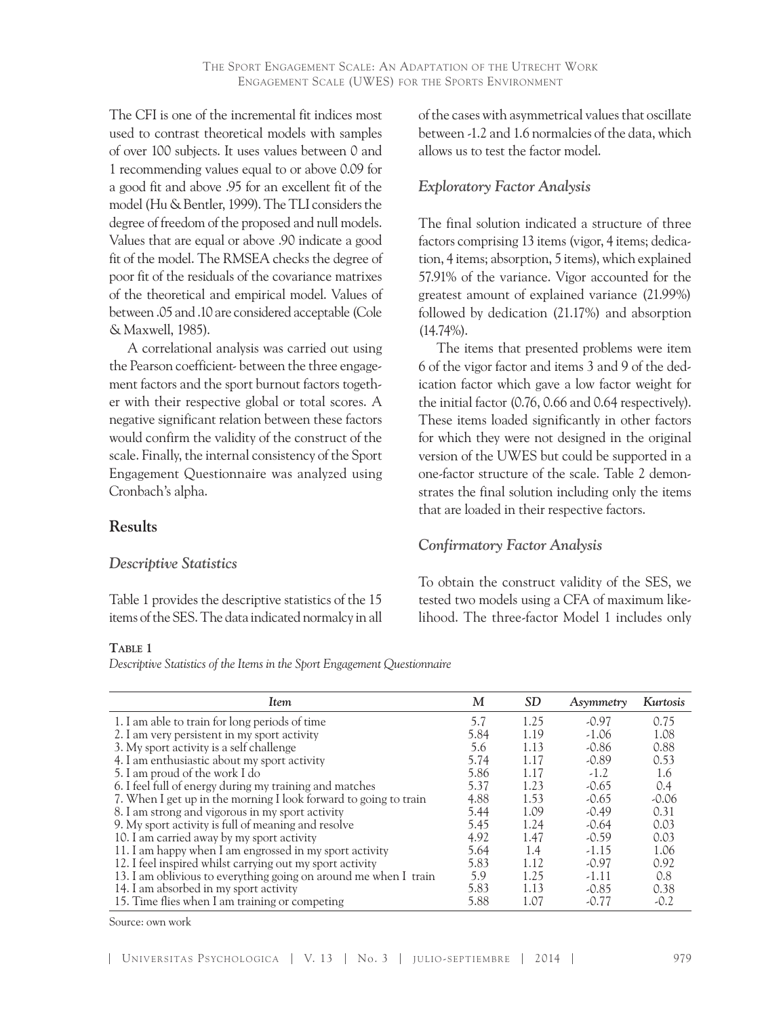The CFI is one of the incremental fit indices most used to contrast theoretical models with samples of over 100 subjects. It uses values between 0 and 1 recommending values equal to or above 0.09 for a good fit and above .95 for an excellent fit of the model (Hu & Bentler, 1999). The TLI considers the degree of freedom of the proposed and null models. Values that are equal or above .90 indicate a good fit of the model. The RMSEA checks the degree of poor fit of the residuals of the covariance matrixes of the theoretical and empirical model. Values of between .05 and .10 are considered acceptable (Cole & Maxwell, 1985).

A correlational analysis was carried out using the Pearson coefficient- between the three engagement factors and the sport burnout factors together with their respective global or total scores. A negative significant relation between these factors would confirm the validity of the construct of the scale. Finally, the internal consistency of the Sport Engagement Questionnaire was analyzed using Cronbach's alpha.

# **Results**

## *Descriptive Statistics*

Table 1 provides the descriptive statistics of the 15 items of the SES. The data indicated normalcy in all

#### **Table 1**

*Descriptive Statistics of the Items in the Sport Engagement Questionnaire*

of the cases with asymmetrical values that oscillate between -1.2 and 1.6 normalcies of the data, which allows us to test the factor model.

# *Exploratory Factor Analysis*

The final solution indicated a structure of three factors comprising 13 items (vigor, 4 items; dedication, 4 items; absorption, 5 items), which explained 57.91% of the variance. Vigor accounted for the greatest amount of explained variance (21.99%) followed by dedication (21.17%) and absorption (14.74%).

The items that presented problems were item 6 of the vigor factor and items 3 and 9 of the dedication factor which gave a low factor weight for the initial factor (0.76, 0.66 and 0.64 respectively). These items loaded significantly in other factors for which they were not designed in the original version of the UWES but could be supported in a one-factor structure of the scale. Table 2 demonstrates the final solution including only the items that are loaded in their respective factors.

# *Confirmatory Factor Analysis*

To obtain the construct validity of the SES, we tested two models using a CFA of maximum likelihood. The three-factor Model 1 includes only

| <b>Item</b>                                                      | M    | <i>SD</i> | Asymmetry | Kurtosis |
|------------------------------------------------------------------|------|-----------|-----------|----------|
| 1. I am able to train for long periods of time                   | 5.7  | 1.25      | $-0.97$   | 0.75     |
| 2. I am very persistent in my sport activity                     | 5.84 | 1.19      | $-1.06$   | 1.08     |
| 3. My sport activity is a self challenge                         | 5.6  | 1.13      | $-0.86$   | 0.88     |
| 4. I am enthusiastic about my sport activity                     | 5.74 | 1.17      | $-0.89$   | 0.53     |
| 5. I am proud of the work I do                                   | 5.86 | 1.17      | $-1.2$    | 1.6      |
| 6. I feel full of energy during my training and matches          | 5.37 | 1.23      | $-0.65$   | 0.4      |
| 7. When I get up in the morning I look forward to going to train | 4.88 | 1.53      | $-0.65$   | $-0.06$  |
| 8. I am strong and vigorous in my sport activity                 | 5.44 | 1.09      | $-0.49$   | 0.31     |
| 9. My sport activity is full of meaning and resolve              | 5.45 | 1.24      | $-0.64$   | 0.03     |
| 10. I am carried away by my sport activity                       | 4.92 | 1.47      | $-0.59$   | 0.03     |
| 11. I am happy when I am engrossed in my sport activity          | 5.64 | 1.4       | $-1.15$   | 1.06     |
| 12. I feel inspired whilst carrying out my sport activity        | 5.83 | 1.12      | $-0.97$   | 0.92     |
| 13. I am oblivious to everything going on around me when I train | 5.9  | 1.25      | $-1.11$   | 0.8      |
| 14. I am absorbed in my sport activity                           | 5.83 | 1.13      | $-0.85$   | 0.38     |
| 15. Time flies when I am training or competing                   | 5.88 | 1.07      | $-0.77$   | $-0.2$   |

Source: own work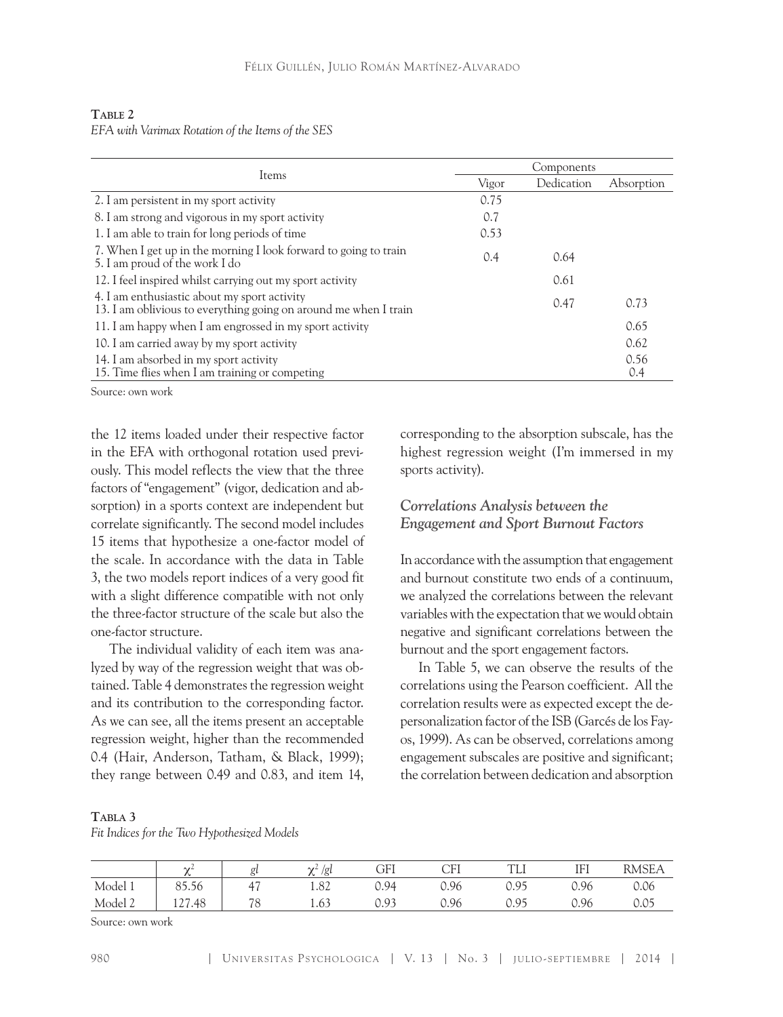| TABLE 2 |                                                   |  |  |
|---------|---------------------------------------------------|--|--|
|         | EFA with Varimax Rotation of the Items of the SES |  |  |

|                                                                                                                  | Components |            |             |  |  |
|------------------------------------------------------------------------------------------------------------------|------------|------------|-------------|--|--|
| Items                                                                                                            | Vigor      | Dedication | Absorption  |  |  |
| 2. I am persistent in my sport activity                                                                          | 0.75       |            |             |  |  |
| 8. I am strong and vigorous in my sport activity                                                                 | 0.7        |            |             |  |  |
| 1. I am able to train for long periods of time                                                                   | 0.53       |            |             |  |  |
| 7. When I get up in the morning I look forward to going to train<br>5. I am proud of the work I do               | 0.4        | 0.64       |             |  |  |
| 12. I feel inspired whilst carrying out my sport activity                                                        |            | 0.61       |             |  |  |
| 4. I am enthusiastic about my sport activity<br>13. I am oblivious to everything going on around me when I train |            | 0.47       | 0.73        |  |  |
| 11. I am happy when I am engrossed in my sport activity                                                          |            |            | 0.65        |  |  |
| 10. I am carried away by my sport activity                                                                       |            |            | 0.62        |  |  |
| 14. I am absorbed in my sport activity<br>15. Time flies when I am training or competing                         |            |            | 0.56<br>0.4 |  |  |

Source: own work

the 12 items loaded under their respective factor in the EFA with orthogonal rotation used previously. This model reflects the view that the three factors of "engagement" (vigor, dedication and absorption) in a sports context are independent but correlate significantly. The second model includes 15 items that hypothesize a one-factor model of the scale. In accordance with the data in Table 3, the two models report indices of a very good fit with a slight difference compatible with not only the three-factor structure of the scale but also the one-factor structure.

The individual validity of each item was analyzed by way of the regression weight that was obtained. Table 4 demonstrates the regression weight and its contribution to the corresponding factor. As we can see, all the items present an acceptable regression weight, higher than the recommended 0.4 (Hair, Anderson, Tatham, & Black, 1999); they range between 0.49 and 0.83, and item 14,

corresponding to the absorption subscale, has the highest regression weight (I'm immersed in my sports activity).

# *Correlations Analysis between the Engagement and Sport Burnout Factors*

In accordance with the assumption that engagement and burnout constitute two ends of a continuum, we analyzed the correlations between the relevant variables with the expectation that we would obtain negative and significant correlations between the burnout and the sport engagement factors.

In Table 5, we can observe the results of the correlations using the Pearson coefficient. All the correlation results were as expected except the depersonalization factor of the ISB (Garcés de los Fayos, 1999). As can be observed, correlations among engagement subscales are positive and significant; the correlation between dedication and absorption

#### **Tabla 3**

*Fit Indices for the Two Hypothesized Models*

|         | $\sim$                           |                                | $\sim$<br>/g | GFI<br><b>ULL</b> | CFI  | T<br>ᆠᆈ         | <b>IEI</b><br><b>TTT</b> | RMSEA |
|---------|----------------------------------|--------------------------------|--------------|-------------------|------|-----------------|--------------------------|-------|
| Model 1 | $\sim$<br>$\sim$ $\sim$<br>85.56 | $\overline{a}$<br>$\Delta$     | 1.82         | 0.94              | 0.96 | n 95<br>◡ 、 ノ ノ | 0.96                     | 0.06  |
| Model 2 | $\bigcap$<br>127.48              | $\overline{\phantom{a}}$<br>ت∵ | 1.63         | 0.93              | 0.96 | 05<br>◡ 、 ノ ノ   | 0.96                     | ◡、◡◡  |

Source: own work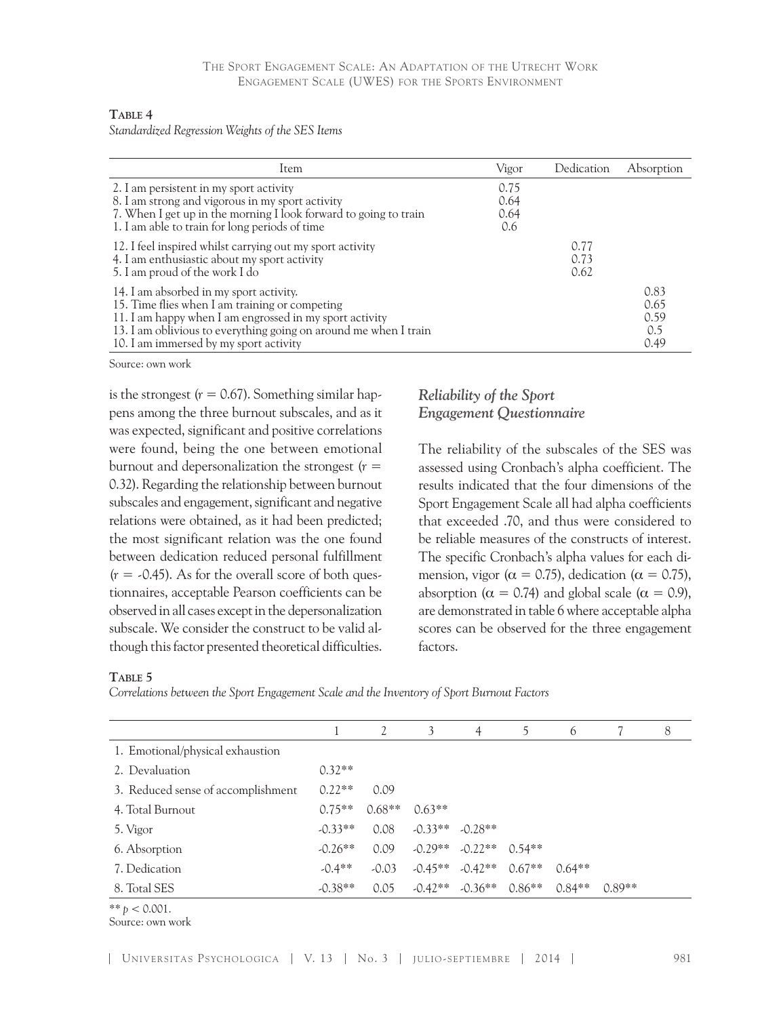#### **Table 4**

*Standardized Regression Weights of the SES Items*

| Item                                                                                                                                                                                                                                                               | Vigor                       | Dedication           | Absorption                          |
|--------------------------------------------------------------------------------------------------------------------------------------------------------------------------------------------------------------------------------------------------------------------|-----------------------------|----------------------|-------------------------------------|
| 2. I am persistent in my sport activity<br>8. I am strong and vigorous in my sport activity<br>7. When I get up in the morning I look forward to going to train<br>1. I am able to train for long periods of time                                                  | 0.75<br>0.64<br>0.64<br>0.6 |                      |                                     |
| 12. I feel inspired whilst carrying out my sport activity<br>4. I am enthusiastic about my sport activity<br>5. I am proud of the work I do                                                                                                                        |                             | 0.77<br>0.73<br>0.62 |                                     |
| 14. I am absorbed in my sport activity.<br>15. Time flies when I am training or competing<br>11. I am happy when I am engrossed in my sport activity<br>13. I am oblivious to everything going on around me when I train<br>10. I am immersed by my sport activity |                             |                      | 0.83<br>0.65<br>0.59<br>0.5<br>0.49 |

Source: own work

is the strongest  $(r = 0.67)$ . Something similar happens among the three burnout subscales, and as it was expected, significant and positive correlations were found, being the one between emotional burnout and depersonalization the strongest  $(r =$ 0.32). Regarding the relationship between burnout subscales and engagement, significant and negative relations were obtained, as it had been predicted; the most significant relation was the one found between dedication reduced personal fulfillment  $(r = -0.45)$ . As for the overall score of both questionnaires, acceptable Pearson coefficients can be observed in all cases except in the depersonalization subscale. We consider the construct to be valid although this factor presented theoretical difficulties.

## *Reliability of the Sport Engagement Questionnaire*

The reliability of the subscales of the SES was assessed using Cronbach's alpha coefficient. The results indicated that the four dimensions of the Sport Engagement Scale all had alpha coefficients that exceeded .70, and thus were considered to be reliable measures of the constructs of interest. The specific Cronbach's alpha values for each dimension, vigor ( $\alpha = 0.75$ ), dedication ( $\alpha = 0.75$ ), absorption ( $\alpha = 0.74$ ) and global scale ( $\alpha = 0.9$ ), are demonstrated in table 6 where acceptable alpha scores can be observed for the three engagement factors.

#### **Table 5**

*Correlations between the Sport Engagement Scale and the Inventory of Sport Burnout Factors*

|                                    |           | 2        | 3         | $\overline{4}$                        | 5        | 6        |          | 8 |
|------------------------------------|-----------|----------|-----------|---------------------------------------|----------|----------|----------|---|
| 1. Emotional/physical exhaustion   |           |          |           |                                       |          |          |          |   |
| 2. Devaluation                     | $0.32**$  |          |           |                                       |          |          |          |   |
| 3. Reduced sense of accomplishment | $0.22**$  | 0.09     |           |                                       |          |          |          |   |
| 4. Total Burnout                   | $0.75**$  | $0.68**$ | $0.63**$  |                                       |          |          |          |   |
| 5. Vigor                           | $-0.33**$ | 0.08     | $-0.33**$ | $-0.28**$                             |          |          |          |   |
| 6. Absorption                      | $-0.26**$ | 0.09     | $-0.29**$ | $-0.22**$                             | $0.54**$ |          |          |   |
| 7. Dedication                      | $-0.4**$  | $-0.03$  |           | $-0.45***$ $-0.42**$ $0.67**$         |          | $0.64**$ |          |   |
| 8. Total SES                       | $-0.38**$ | 0.05     |           | $-0.42**$ $-0.36**$ $0.86**$ $0.84**$ |          |          | $0.89**$ |   |
| $44.4 \cdot 24.001$                |           |          |           |                                       |          |          |          |   |

 $** p < 0.001.$ 

Source: own work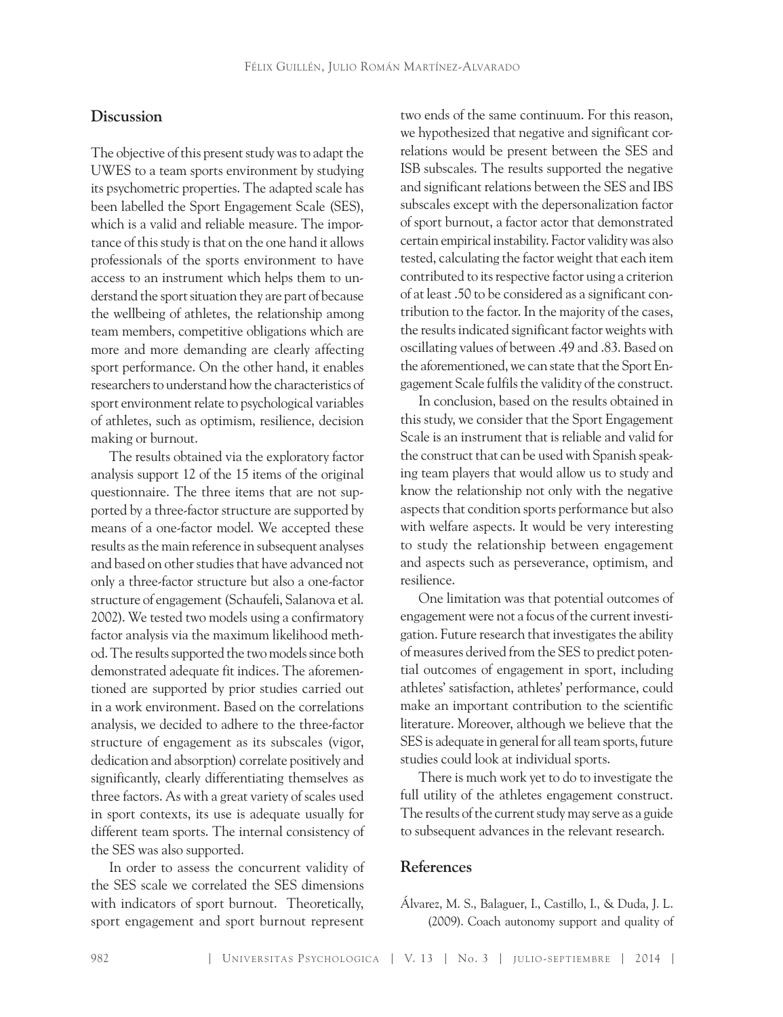## **Discussion**

The objective of this present study was to adapt the UWES to a team sports environment by studying its psychometric properties. The adapted scale has been labelled the Sport Engagement Scale (SES), which is a valid and reliable measure. The importance of this study is that on the one hand it allows professionals of the sports environment to have access to an instrument which helps them to understand the sport situation they are part of because the wellbeing of athletes, the relationship among team members, competitive obligations which are more and more demanding are clearly affecting sport performance. On the other hand, it enables researchers to understand how the characteristics of sport environment relate to psychological variables of athletes, such as optimism, resilience, decision making or burnout.

The results obtained via the exploratory factor analysis support 12 of the 15 items of the original questionnaire. The three items that are not supported by a three-factor structure are supported by means of a one-factor model. We accepted these results as the main reference in subsequent analyses and based on other studies that have advanced not only a three-factor structure but also a one-factor structure of engagement (Schaufeli, Salanova et al. 2002). We tested two models using a confirmatory factor analysis via the maximum likelihood method. The results supported the two models since both demonstrated adequate fit indices. The aforementioned are supported by prior studies carried out in a work environment. Based on the correlations analysis, we decided to adhere to the three-factor structure of engagement as its subscales (vigor, dedication and absorption) correlate positively and significantly, clearly differentiating themselves as three factors. As with a great variety of scales used in sport contexts, its use is adequate usually for different team sports. The internal consistency of the SES was also supported.

In order to assess the concurrent validity of the SES scale we correlated the SES dimensions with indicators of sport burnout. Theoretically, sport engagement and sport burnout represent

two ends of the same continuum. For this reason, we hypothesized that negative and significant correlations would be present between the SES and ISB subscales. The results supported the negative and significant relations between the SES and IBS subscales except with the depersonalization factor of sport burnout, a factor actor that demonstrated certain empirical instability. Factor validity was also tested, calculating the factor weight that each item contributed to its respective factor using a criterion of at least .50 to be considered as a significant contribution to the factor. In the majority of the cases, the results indicated significant factor weights with oscillating values of between .49 and .83. Based on the aforementioned, we can state that the Sport Engagement Scale fulfils the validity of the construct.

In conclusion, based on the results obtained in this study, we consider that the Sport Engagement Scale is an instrument that is reliable and valid for the construct that can be used with Spanish speaking team players that would allow us to study and know the relationship not only with the negative aspects that condition sports performance but also with welfare aspects. It would be very interesting to study the relationship between engagement and aspects such as perseverance, optimism, and resilience.

One limitation was that potential outcomes of engagement were not a focus of the current investigation. Future research that investigates the ability of measures derived from the SES to predict potential outcomes of engagement in sport, including athletes' satisfaction, athletes' performance, could make an important contribution to the scientific literature. Moreover, although we believe that the SES is adequate in general for all team sports, future studies could look at individual sports.

There is much work yet to do to investigate the full utility of the athletes engagement construct. The results of the current study may serve as a guide to subsequent advances in the relevant research.

#### **References**

Álvarez, M. S., Balaguer, I., Castillo, I., & Duda, J. L. (2009). Coach autonomy support and quality of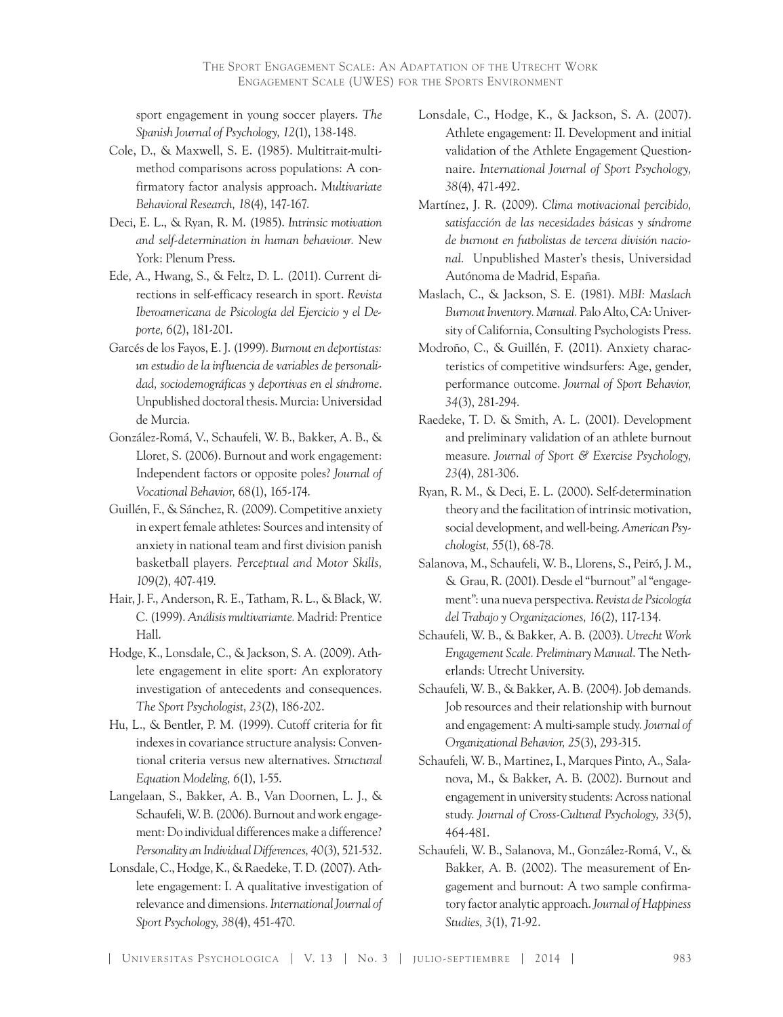sport engagement in young soccer players. *The Spanish Journal of Psychology, 12*(1), 138-148.

- Cole, D., & Maxwell, S. E. (1985). Multitrait-multimethod comparisons across populations: A confirmatory factor analysis approach. *Multivariate Behavioral Research, 18*(4), 147-167.
- Deci, E. L., & Ryan, R. M. (1985). *Intrinsic motivation and self-determination in human behaviour.* New York: Plenum Press.
- Ede, A., Hwang, S., & Feltz, D. L. (2011). Current directions in self-efficacy research in sport. *Revista Iberoamericana de Psicología del Ejercicio y el Deporte, 6*(2), 181-201.
- Garcés de los Fayos, E. J. (1999). *Burnout en deportistas: un estudio de la influencia de variables de personalidad, sociodemográficas y deportivas en el síndrome*. Unpublished doctoral thesis. Murcia: Universidad de Murcia.
- González-Romá, V., Schaufeli, W. B., Bakker, A. B., & Lloret, S. (2006). Burnout and work engagement: Independent factors or opposite poles? *Journal of Vocational Behavior,* 68(1), 165-174.
- Guillén, F., & Sánchez, R. (2009). Competitive anxiety in expert female athletes: Sources and intensity of anxiety in national team and first division panish basketball players. *Perceptual and Motor Skills, 109*(2), 407-419.
- Hair, J. F., Anderson, R. E., Tatham, R. L., & Black, W. C. (1999). *Análisis multivariante.* Madrid: Prentice Hall.
- Hodge, K., Lonsdale, C., & Jackson, S. A. (2009). Athlete engagement in elite sport: An exploratory investigation of antecedents and consequences. *The Sport Psychologist, 23*(2), 186-202.
- Hu, L., & Bentler, P. M. (1999). Cutoff criteria for fit indexes in covariance structure analysis: Conventional criteria versus new alternatives. *Structural Equation Modeling, 6*(1), 1-55.
- Langelaan, S., Bakker, A. B., Van Doornen, L. J., & Schaufeli, W. B. (2006). Burnout and work engagement: Do individual differences make a difference? *Personality an Individual Differences, 40*(3), 521-532.
- Lonsdale, C., Hodge, K., & Raedeke, T. D. (2007). Athlete engagement: I. A qualitative investigation of relevance and dimensions. *International Journal of Sport Psychology, 38*(4), 451-470.
- Lonsdale, C., Hodge, K., & Jackson, S. A. (2007). Athlete engagement: II. Development and initial validation of the Athlete Engagement Questionnaire. *International Journal of Sport Psychology, 38*(4), 471-492.
- Martínez, J. R. (2009). *Clima motivacional percibido, satisfacción de las necesidades básicas y síndrome de burnout en futbolistas de tercera división nacional.* Unpublished Master's thesis, Universidad Autónoma de Madrid, España.
- Maslach, C., & Jackson, S. E. (1981). *MBI: Maslach Burnout Inventory. Manual.* Palo Alto, CA: University of California, Consulting Psychologists Press.
- Modroño, C., & Guillén, F. (2011). Anxiety characteristics of competitive windsurfers: Age, gender, performance outcome. *Journal of Sport Behavior, 34*(3), 281-294.
- Raedeke, T. D. & Smith, A. L. (2001). Development and preliminary validation of an athlete burnout measure*. Journal of Sport & Exercise Psychology, 23*(4), 281-306.
- Ryan, R. M., & Deci, E. L. (2000). Self-determination theory and the facilitation of intrinsic motivation, social development, and well-being. *American Psychologist, 55*(1), 68-78.
- Salanova, M., Schaufeli, W. B., Llorens, S., Peiró, J. M., & Grau, R. (2001). Desde el "burnout" al "engagement": una nueva perspectiva. *Revista de Psicología del Trabajo y Organizaciones, 16*(2), 117-134.
- Schaufeli, W. B., & Bakker, A. B. (2003). *Utrecht Work Engagement Scale. Preliminary Manual*. The Netherlands: Utrecht University.
- Schaufeli, W. B., & Bakker, A. B. (2004). Job demands. Job resources and their relationship with burnout and engagement: A multi-sample study*. Journal of Organizational Behavior, 25*(3), 293-315.
- Schaufeli, W. B., Martinez, I., Marques Pinto, A., Salanova, M., & Bakker, A. B. (2002). Burnout and engagement in university students: Across national study*. Journal of Cross-Cultural Psychology, 33*(5), 464-481.
- Schaufeli, W. B., Salanova, M., González-Romá, V., & Bakker, A. B. (2002). The measurement of Engagement and burnout: A two sample confirmatory factor analytic approach. *Journal of Happiness Studies, 3*(1), 71-92.

| UNIVERSITAS PSYCHOLOGICA | V. 13 | No. 3 | JULIO-SEPTIEMBRE | 2014 | 983